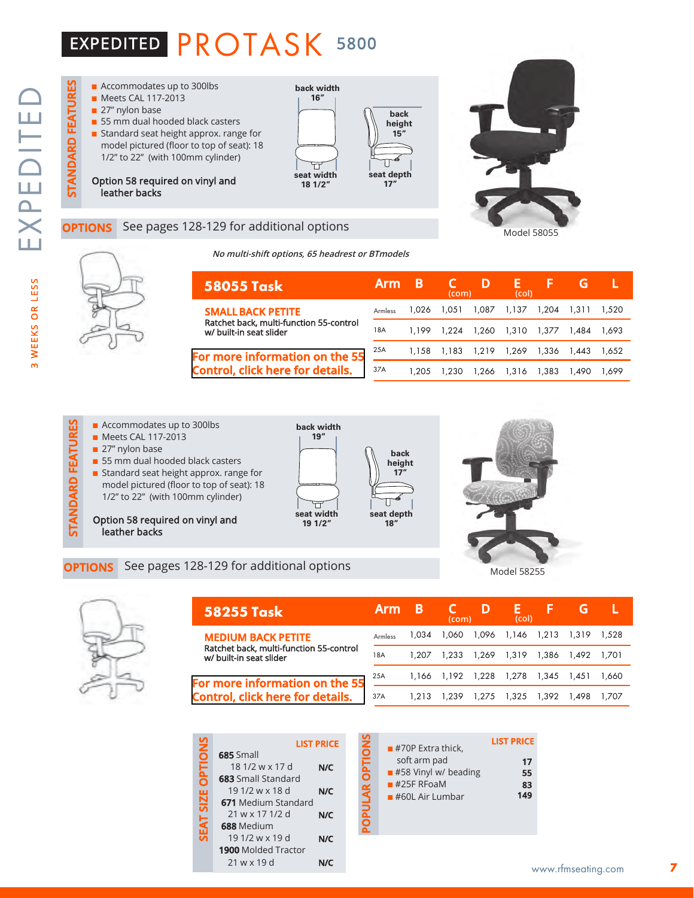## EXPEDITED PROTASK <sup>5800</sup>

**STANDARD FEATURES**

**STANDARD FEATURES** 



### See pages 128-129 for additional options

**For more information Control, click here for** 



#### **No multi-shift options, 65 headrest or BTmodels**

| 58055 Task                                                         | <b>Arm</b> | B     | <b>AU7</b><br>(com) | D                       | -13-<br>(col) |             | G     |       |  |
|--------------------------------------------------------------------|------------|-------|---------------------|-------------------------|---------------|-------------|-------|-------|--|
| SMALL BACK PETITE                                                  | Armless    | 1.026 | 1.051               | 1.087                   | 1.137         | 1.204       | 1.311 | 1,520 |  |
| Ratchet back, multi-function 55-control<br>w/ built-in seat slider | 18A        | 1.199 |                     | 1,224 1,260 1,310       |               | 1.377       | 1.484 | 1.693 |  |
| r more information on the 55                                       | 25A        |       |                     | 1,158 1,183 1,219 1,269 |               | 1,336 1,443 |       | 1.652 |  |
| ntrol, click here for details.                                     | 37A        | 1.205 | 1.230               | 1,266                   | 1,316         | 1.383       | 1.490 | 1.699 |  |

- $\blacksquare$  Accommodates up to 300lbs
- **n** Meets CAL 117-2013
- $\blacksquare$  27" nylon base
- **Example 128** Accommodates up to 300lbs<br> **OPTIONS** See pages 128-129 for additional options<br> **OPTIONS** See pages 128-129 for additional options ■ 55 mm dual hooded black casters **n** Standard seat height approx. range for
	- model pictured (floor to top of seat): 18 1/2" to 22" (with 100mm cylinder)

Option 58 required on vinyl and .<br>leather backs





Model 58055

Model 58255



| 58255 Task                                                         | <b>Arm</b> | В     | (com) | D                       | (col) |             |             |         |
|--------------------------------------------------------------------|------------|-------|-------|-------------------------|-------|-------------|-------------|---------|
| <b>MEDIUM BACK PETITE</b>                                          | Armless    | 1.034 |       | 1,060 1,096 1,146       |       |             | 1,213 1,319 | 1.528   |
| Ratchet back, multi-function 55-control<br>w/ built-in seat slider | 18A        | 1.207 |       | 1.233 1.269 1.319       |       |             | 1.386 1.492 | - 1.701 |
| For more information on the 55                                     | 25A        |       |       | 1,166 1,192 1,228 1,278 |       | 1,345 1,451 |             | 1.660   |
| <b>Control, click here for details.</b>                            | 37A        | 1.213 | 1.239 | 1,275                   | 1.325 | 1.392       | 1.498       | 1.707   |

|                     |                                                                                 | <b>LIST PRICE</b> |
|---------------------|---------------------------------------------------------------------------------|-------------------|
| <b>SNOLLED</b>      | <b>685</b> Small<br>$181/2$ w x 17 d<br>683 Small Standard<br>$191/2$ w x 18 d  | N/C<br>N/C        |
| <b>SIZE</b><br>SEAT | <b>671</b> Medium Standard<br>21 w x 17 1/2 d<br>688 Medium<br>$191/2$ w x 19 d | N/C<br>N/C        |
|                     | <b>1900</b> Molded Tractor<br>21 w x 19 d                                       | N/C               |

| <b>LIST PRICE</b>              |                         | $#70P$ Extra thick,                                                       | <b>LIST PRICE</b>     |
|--------------------------------|-------------------------|---------------------------------------------------------------------------|-----------------------|
| N/C<br>d<br>N/C<br>dard<br>N/C | <b>OPTIONS</b><br>PULAR | soft arm pad<br>#58 Vinyl w/ beading<br>$#25F$ RFoaM<br>$#60L$ Air Lumbar | 17<br>55<br>83<br>149 |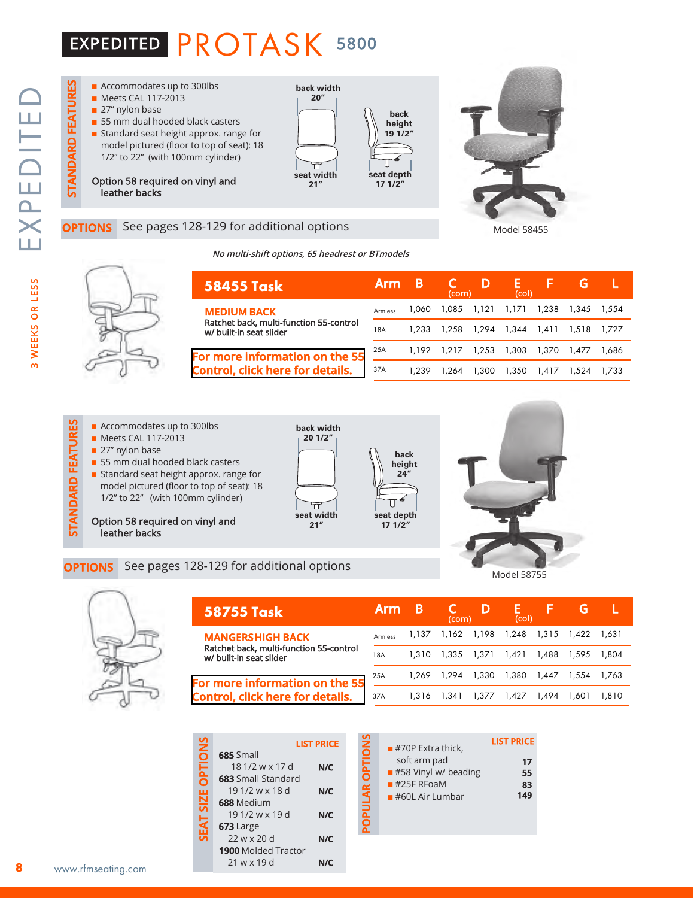## EXPEDITED PROTASK <sup>5800</sup>



### See pages 128-129 for additional options

**No multi-shift options, 65 headrest or BTmodels**



| 58455 Task                                                                | <b>Arm</b> | В     | (com) | D           | E.<br>(col) | ь     | G     |       |
|---------------------------------------------------------------------------|------------|-------|-------|-------------|-------------|-------|-------|-------|
| <b>MEDIUM BACK</b>                                                        | Armless    | 1.060 | 1.085 | 1.121       | 1.171       | 1.238 | 1.345 | 1.554 |
| Ratchet back, multi-function 55-control<br>w/ built-in seat slider        | 18A        | 1.233 | 1.258 | 1,294 1,344 |             | 1.411 | 1.518 | 1.727 |
| For more information on the 55<br><b>Control, click here for details.</b> | 25A        | 1.192 | 1.217 | 1,253       | 1,303       | 1.370 | 1.477 | 1.686 |
|                                                                           | 37A        | 1.239 | ، 264 | 1.300       | 1.350       | 1.417 | 1.524 | 1.733 |

- $\blacksquare$  Accommodates up to 300lbs **n** Meets CAL 117-2013  $\blacksquare$  27" nylon base
	- $\blacksquare$  55 mm dual hooded black casters **n** Standard seat height approx. range for
- **Example 128** Accommodates up to 300lbs<br> **OPTIONS** See pages 128-129 for additional options<br> **OPTIONS** See pages 128-129 for additional options model pictured (floor to top of seat): 18 1/2" to 22" (with 100mm cylinder)
	- Option 58 required on vinyl and leather backs





Model 58455

Model 58755



| <b>58755 Task</b>                                                  | <b>Arm</b>     | B     | (com)                   | D                 | (col) |                   |       |       |
|--------------------------------------------------------------------|----------------|-------|-------------------------|-------------------|-------|-------------------|-------|-------|
| <b>MANGERSHIGH BACK</b>                                            | <b>Armless</b> |       | 1,137 1,162 1,198 1,248 |                   |       | 1,315 1,422 1,631 |       |       |
| Ratchet back, multi-function 55-control<br>w/ built-in seat slider | 18A            | 1.310 |                         | 1.335 1.371 1.421 |       | 1.488             | 1.595 | 1.804 |
| For more information on the 55                                     | 25A            | 1.269 | 1.294                   | 1,330             | 1,380 | 1,447             | 1.554 | 1.763 |
| <b>Control, click here for details.</b>                            | 37A            | 1.316 | 1.341                   | 1.377             | 1.427 | 1.494             | 1.601 | 1.810 |

|                                            | <b>LIST PRICE</b> |
|--------------------------------------------|-------------------|
| 685 Small                                  |                   |
| 18 1/2 w x 17 d                            | N/C               |
| <b>683</b> Small Standard                  |                   |
| 19 1/2 w x 18 d                            | N/C               |
| 688 Medium                                 |                   |
| 19 1/2 w x 19 d                            | N/C               |
| 673 Large                                  |                   |
| $22$ w x 20 d                              | N/C               |
| <b>1900</b> Molded Tractor                 |                   |
| 21 w x 19 d                                |                   |
| <b>PTION</b><br><b>SIZE</b><br><b>SEAT</b> |                   |

|   | <b>LIST PRICE</b> |                | $\blacksquare$ #70P Extra thick,                    | <b>LIST PRICE</b> |
|---|-------------------|----------------|-----------------------------------------------------|-------------------|
| d | N/C               | <b>OPTIONS</b> | soft arm pad<br>$\blacksquare$ #58 Vinyl w/ beading | 17<br>55          |
|   | N/C               | PULAR          | $#25F$ RFoaM<br>$#60L$ Air Lumbar                   | 83<br>149         |
|   | N/C               |                |                                                     |                   |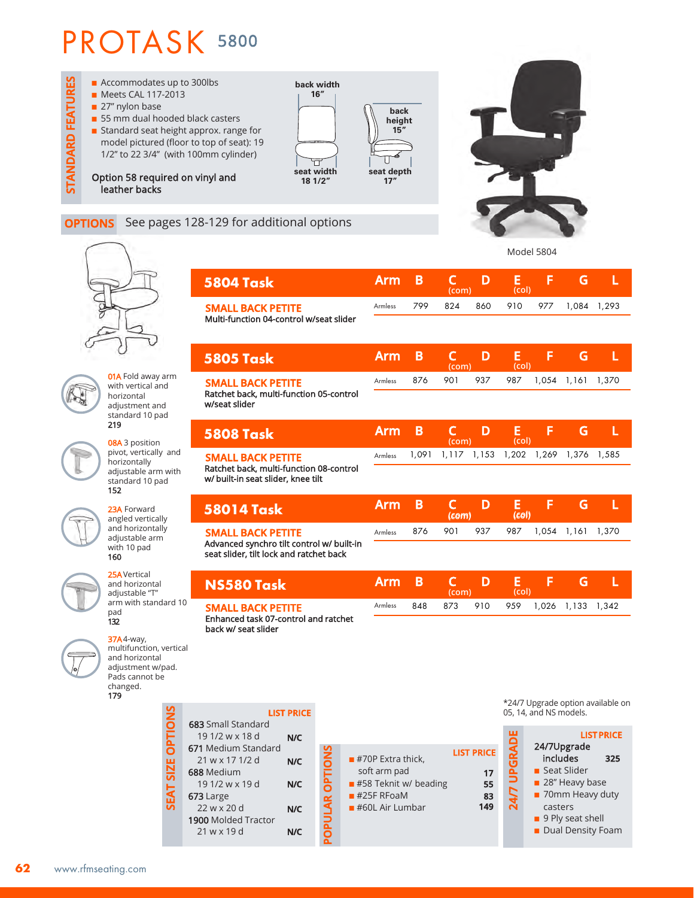

### **OPTIONS** See pages 128-129 for additional options



**01A** Fold away arm with vertical and horizontal adjustment and standard 10 pad 219

08A 3 position pivot, vertically and horizontally adjustable arm with standard 10 pad 152

23A Forward angled vertically and horizontally adjustable arm with 10 pad 160

25AVertical and horizontal adjustable "T" arm with standard 10 pad 132

37A4-way,

changed. 179



**SM** Enha back multifunction, vertical and horizontal adjustment w/pad. Pads cannot be **SEAT SIZE OPTIONS LIST PRICE SIZE OPTION** 683 Sma 19 1/2 **N/C** 671 Medium Standard **POPULAR OPTIONS** 21 w x 17 1/2 d **N/C** ō 688 Medium 군<br>0 19 1/2 w x 19 d **N/C SEAT** 673 Large

 22 w x 20 d 1900 Molded Tractor 21 w x 19 d **N/C**

**N/C**

|                                                                                      |            |       |                       |       | Model 5804                         |       |       |                                   |
|--------------------------------------------------------------------------------------|------------|-------|-----------------------|-------|------------------------------------|-------|-------|-----------------------------------|
| <b>5804 Task</b>                                                                     | <b>Arm</b> | B     | C<br>(com)            | D     | E<br>(col)                         | F     | G     | L                                 |
| <b>SMALL BACK PETITE</b><br>Multi-function 04-control w/seat slider                  | Armless    | 799   | 824                   | 860   | 910                                | 977   | 1,084 | 1,293                             |
|                                                                                      |            |       |                       |       |                                    |       |       |                                   |
| <b>5805 Task</b>                                                                     | <b>Arm</b> | B     | C<br>(com)            | D     | E<br>(col)                         | F     | G     | L                                 |
| <b>SMALL BACK PETITE</b>                                                             | Armless    | 876   | 901                   | 937   | 987                                | 1,054 | 1,161 | 1,370                             |
| Ratchet back, multi-function 05-control<br>w/seat slider                             |            |       |                       |       |                                    |       |       |                                   |
| <b>5808 Task</b>                                                                     | <b>Arm</b> | B     | C<br>(com)            | D     | Е<br>(col)                         | F     | G     | L                                 |
| <b>SMALL BACK PETITE</b><br>Ratchet back, multi-function 08-control                  | Armless    | 1,091 | 1, 1 1 7              | 1,153 | 1,202                              | 1,269 | 1,376 | 1,585                             |
| w/ built-in seat slider, knee tilt                                                   |            |       |                       |       |                                    |       |       |                                   |
|                                                                                      |            |       |                       |       |                                    |       |       |                                   |
| <b>58014 Task</b>                                                                    | <b>Arm</b> | B     | $\mathsf{C}$<br>(com) | D     | E<br>(col)                         | F     | G     | L                                 |
| <b>SMALL BACK PETITE</b>                                                             | Armless    | 876   | 901                   | 937   | 987                                | 1,054 | 1,161 | 1,370                             |
| Advanced synchro tilt control w/ built-in<br>seat slider, tilt lock and ratchet back |            |       |                       |       |                                    |       |       |                                   |
| NS580 Task                                                                           | <b>Arm</b> | B     | $\mathsf{C}$<br>(com) | D     | E<br>(col)                         | F     | G     | L                                 |
| <b>SMALL BACK PETITE</b>                                                             | Armless    | 848   | 873                   | 910   | 959                                | 1,026 | 1,133 | 1,342                             |
| Enhanced task 07-control and ratchet<br>back w/ seat slider                          |            |       |                       |       |                                    |       |       |                                   |
|                                                                                      |            |       |                       |       |                                    |       |       |                                   |
|                                                                                      |            |       |                       |       |                                    |       |       |                                   |
|                                                                                      |            |       |                       |       |                                    |       |       | *24/7 Upgrade option available on |
| <b>LIST PRICE</b><br><b>3</b> Small Standard<br>91/2wx18d<br>N/C                     |            |       |                       |       | 05, 14, and NS models.<br><u>م</u> |       |       | <b>LIST PRICE</b>                 |

 $\blacksquare$  #70P Extra thick, soft arm pad

 $#25F$  RFoaM  $\blacksquare$  #60L Air Lumbar

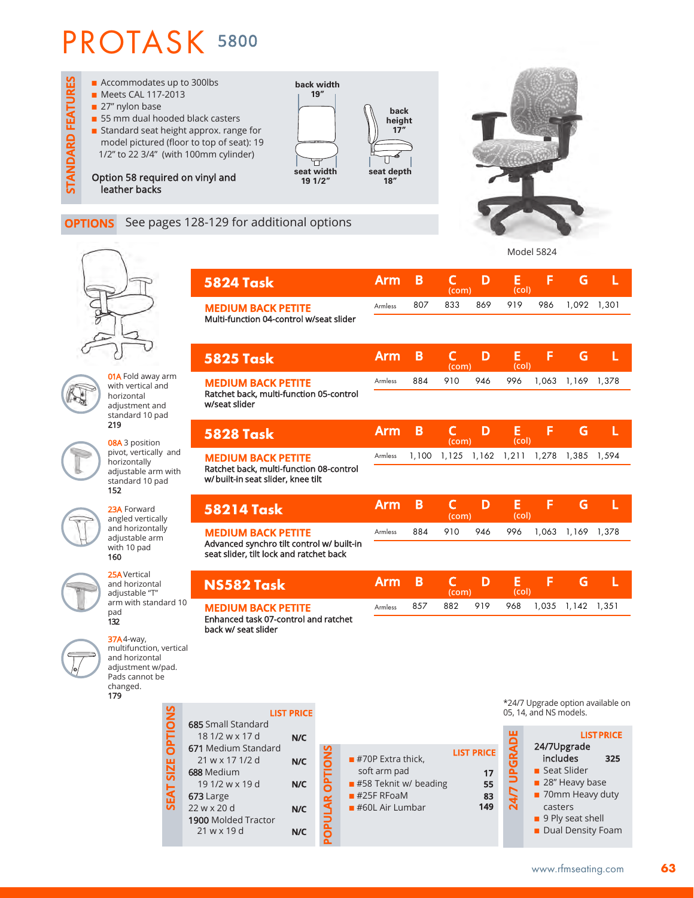

### **OPTIONS** See pages 128-129 for additional options





**01A** Fold away arm with vertical and horizontal adjustment and standard 10 pad 219

08A 3 position pivot, vertically and horizontally adjustable arm with standard 10 pad 152

23A Forward angled vertically and horizontally adjustable arm with 10 pad 160



| 25A Vertical<br>and horizontal<br>adjustable "T"                                                                    |                | NS582 Task                                                                               |                          |                 |   | Arm                                                | B |  |
|---------------------------------------------------------------------------------------------------------------------|----------------|------------------------------------------------------------------------------------------|--------------------------|-----------------|---|----------------------------------------------------|---|--|
| arm with standard 10<br>pad<br>132                                                                                  |                | <b>MEDIUM BACK PETITE</b><br>Enhanced task 07-control and ratchet<br>back w/ seat slider | Armless                  | 857             | 8 |                                                    |   |  |
| $37A4$ -way,<br>multifunction, vertical<br>and horizontal<br>adjustment w/pad.<br>Pads cannot be<br>changed.<br>179 |                |                                                                                          |                          |                 |   |                                                    |   |  |
|                                                                                                                     | <b>OPTIONS</b> | <b>685</b> Small Standard<br>18 1/2 w x 17 d                                             | <b>LIST PRICE</b><br>N/C |                 |   |                                                    |   |  |
|                                                                                                                     |                | 671 Medium Standard<br>21 w x 17 1/2 d<br>688 Medium                                     | N/C                      |                 |   | $\blacksquare$ #70P Extra thick,<br>soft arm pad   |   |  |
|                                                                                                                     | SEAT SIZE      | 19 1/2 w x 19 d<br>673 Large                                                             | N/C                      |                 |   | $\blacksquare$ #58 Teknit w/ beading<br>#25F RFoaM |   |  |
|                                                                                                                     |                | 22 w x 20 d<br><b>1900 Molded Tractor</b><br>$21$ w x 19 d                               | N/C<br>N/C               | POPULAR OPTIONS |   | $#60L$ Air Lumbar                                  |   |  |
|                                                                                                                     |                |                                                                                          |                          |                 |   |                                                    |   |  |

| 5824 Task                                                                            | Arm            | В     | C<br>(com)            | D     | Е<br>(col) | F     | G     |       |
|--------------------------------------------------------------------------------------|----------------|-------|-----------------------|-------|------------|-------|-------|-------|
| <b>MEDIUM BACK PETITE</b>                                                            | Armless        | 807   | 833                   | 869   | 919        | 986   | 1,092 | 1,301 |
| Multi-function 04-control w/seat slider                                              |                |       |                       |       |            |       |       |       |
| 5825 Task                                                                            | <b>Arm</b>     | B     | $\mathsf{C}$<br>(com) | D     | E<br>(col) | F     | G     |       |
| <b>MEDIUM BACK PETITE</b>                                                            | Armless        | 884   | 910                   | 946   | 996        | 1,063 | 1,169 | 1,378 |
| Ratchet back, multi-function 05-control<br>w/seat slider                             |                |       |                       |       |            |       |       |       |
| <b>5828 Task</b>                                                                     | <b>Arm</b>     | B     | C<br>(com)            | D     | Е<br>(col) | F     | G     | L     |
| <b>MEDIUM BACK PETITE</b>                                                            | Armless        | 1,100 | 1,125                 | 1,162 | 1,211      | 1,278 | 1,385 | 1,594 |
| Ratchet back, multi-function 08-control<br>w/built-in seat slider, knee tilt         |                |       |                       |       |            |       |       |       |
| 58214 Task                                                                           | <b>Arm</b>     | B     | $\mathsf{C}$<br>(com) | D     | E<br>(col) | F     | G     | L     |
| <b>MEDIUM BACK PETITE</b>                                                            | Armless        | 884   | 910                   | 946   | 996        | 1,063 | 1,169 | 1,378 |
| Advanced synchro tilt control w/ built-in<br>seat slider, tilt lock and ratchet back |                |       |                       |       |            |       |       |       |
| NS582 Task                                                                           | <b>Arm</b>     | B     | $\mathsf{C}$<br>(com) | D     | E<br>(col) | F     | G     |       |
| <b>MEDIUM BACK PETITE</b>                                                            | <b>Armless</b> | 857   | 882                   | 919   | 968        | 1,035 | 1,142 | 1,351 |
| Enhanced task 07-control and ratchet<br>back w/ seat slider                          |                |       |                       |       |            |       |       |       |

\*24/7 Upgrade option available on 05, 14, and NS models.

| <b>LIST PRICE</b><br>17<br>55<br>83<br>149 | <b>UPGRAD</b><br><b>Z4/7</b> | <b>LIST PRICE</b><br>24/7Upgrade<br>includes<br>325<br>■ Seat Slider<br>28" Heavy base<br>70mm Heavy duty<br>casters<br>9 Ply seat shell<br>Dual Density Foam |
|--------------------------------------------|------------------------------|---------------------------------------------------------------------------------------------------------------------------------------------------------------|
|--------------------------------------------|------------------------------|---------------------------------------------------------------------------------------------------------------------------------------------------------------|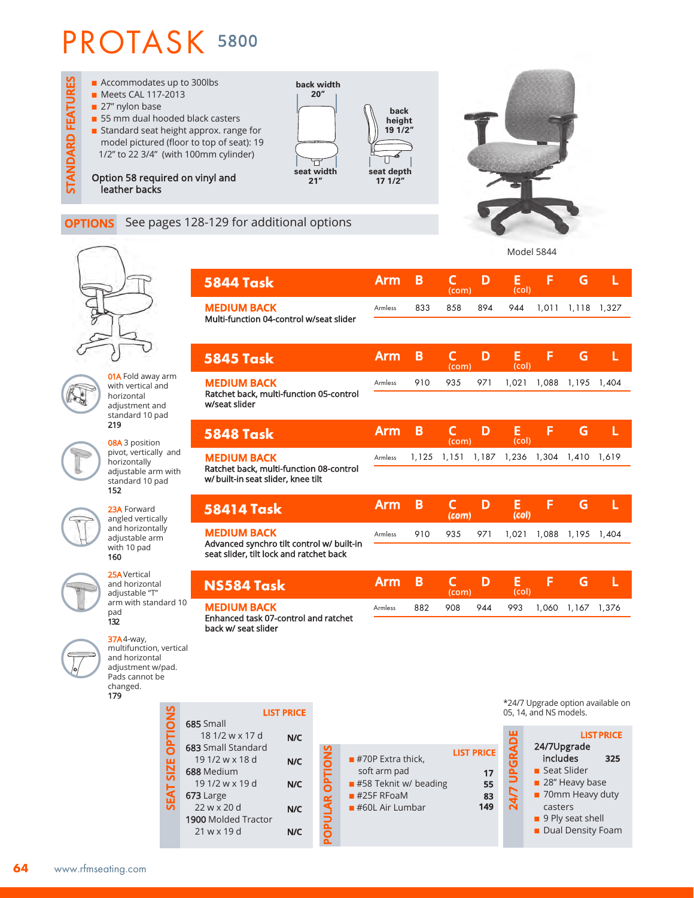

### **OPTIONS** See pages 128-129 for additional options



**01A** Fold away arm with vertical and horizontal adjustment and standard 10 pad 219

08A 3 position pivot, vertically and horizontally adjustable arm with standard 10 pad 152

23A Forward angled vertically and horizontally adjustable arm with 10 pad 160

25AVertical and horizontal adjustable "T" arm with standard 10 pad 132



179

multifunction, vertical and horizontal adjustment w/pad. Pads cannot be changed. **SEAT SIZE OPTIONS SEAT SIZE OPTIONS** 685 Small

| <b>685</b> Small           |     |
|----------------------------|-----|
| 18 1/2 w x 17 d            | N/C |
| <b>683</b> Small Standard  |     |
| 19 1/2 w x 18 d            | N/C |
| 688 Medium                 |     |
| 19 1/2 w x 19 d            | N/C |
| 673 Large                  |     |
| 22 w x 20 d                | N/C |
| <b>1900 Molded Tractor</b> |     |
| 21 w x 19 d                |     |
|                            |     |

| 5844 Task                                                       | <b>Arm</b>     | B     | C<br>(com) | D     | E<br>(col) | F     | G     |       |
|-----------------------------------------------------------------|----------------|-------|------------|-------|------------|-------|-------|-------|
| <b>MEDIUM BACK</b>                                              | Armless        | 833   | 858        | 894   | 944        | 1,011 | 1,118 | 1,327 |
| Multi-function 04-control w/seat slider                         |                |       |            |       |            |       |       |       |
| <b>5845 Task</b>                                                | Arm            | B     | C<br>(com) | D     | E<br>(col) | F     | G     | L     |
| <b>MEDIUM BACK</b><br>Ratchet back, multi-function 05-control   | <b>Armless</b> | 910   | 935        | 971   | 1,021      | 1,088 | 1,195 | 1,404 |
| w/seat slider                                                   |                |       |            |       |            |       |       |       |
| 5848 Task                                                       | <b>Arm</b>     | B     | C<br>(com) | D     | E<br>(col) | F     | G     | L     |
| <b>MEDIUM BACK</b><br>Ratchet back, multi-function 08-control   | Armless        | 1,125 | 1,151      | 1,187 | 1,236      | 1,304 | 1,410 | 1,619 |
| w/ built-in seat slider, knee tilt                              |                |       |            |       |            |       |       |       |
| 58414 Task                                                      | <b>Arm</b>     | B     | C<br>(com) | D     | E<br>(col) | F     | G     | L     |
| <b>MEDIUM BACK</b><br>Advanced synchro tilt control w/ built-in | <b>Armless</b> | 910   | 935        | 971   | 1,021      | 1,088 | 1,195 | 1,404 |
| seat slider, tilt lock and ratchet back                         |                |       |            |       |            |       |       |       |
| NS584 Task                                                      | <b>Arm</b>     | B     | C<br>(com) | D     | Е<br>(col) | F     | G     | L     |
| <b>MEDIUM BACK</b><br>Enhanced task 07-control and ratchet      | Armless        | 882   | 908        | 944   | 993        | 1,060 | 1,167 | 1,376 |
| back w/ seat slider                                             |                |       |            |       |            |       |       |       |
|                                                                 |                |       |            |       |            |       |       |       |

**LIST** 

|                                          | <b>LIST PRICE</b> |                        |                                                      |
|------------------------------------------|-------------------|------------------------|------------------------------------------------------|
| Small<br>18 1/2 w x 17 d                 | N/C               |                        |                                                      |
| Small Standard<br>1/2 w x 18 d<br>Medium | N/C               | <b>POPULAR OPTIONS</b> | $\blacksquare$ #70P Extra thick,<br>soft arm pad     |
| ) 1/2 w x 19 d<br>Large                  | N/C               |                        | $\blacksquare$ #58 Teknit w/ beading<br>$#25F$ RFoaM |
| 2 w x 20 d<br><b>O</b> Molded Tractor    | N/C               |                        | $\blacksquare$ #60L Air Lumbar                       |
| l w x 19 d                               | N/C               |                        |                                                      |

\*24/7 Upgrade option available on 05, 14, and NS models.

|              |                    | <b>LIST PRICE</b> |
|--------------|--------------------|-------------------|
| <b>PRICE</b> | <b>CIRAND</b>      | 24/7Upgrade       |
|              |                    | includes<br>325   |
| 17           | $\mathbf{\hat{5}}$ | Seat Slider       |
| 55           |                    | 28" Heavy base    |
| 83           | 24.7               | 70mm Heavy duty   |
| 149          |                    | casters           |
|              |                    | 9 Ply seat shell  |
|              |                    | Dual Density Foam |
|              |                    |                   |

Model 5844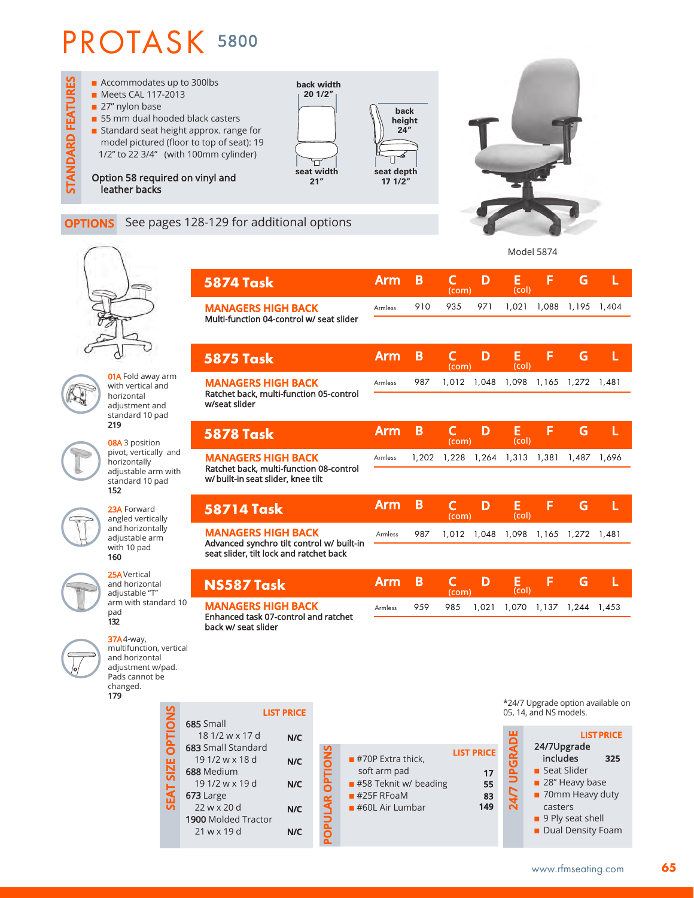

### **OPTIONS** See pages 128-129 for additional options

**SEAT SIZE OPTIONS**

SEAT SIZE OPTION





**01A** Fold away arm with vertical and horizontal adjustment and standard 10 pad 219

08A 3 position pivot, vertically and horizontally adjustable arm with standard 10 pad 152

23A Forward angled vertically and horizontally adjustable arm with 10 pad 160

25AVertical and horizontal adjustable "T" arm with standard 10 pad 132



37A4-way, multifunction, vertical and horizontal adjustment w/pad. Pads cannot be changed. 179

|    | <b>5874 Task</b>                                                       |     |                       | <b>Arm</b>                                       | B     | $\mathsf{C}$<br>(com) | D                 | E<br>(col)             | F                         | G                                   | L                                 |
|----|------------------------------------------------------------------------|-----|-----------------------|--------------------------------------------------|-------|-----------------------|-------------------|------------------------|---------------------------|-------------------------------------|-----------------------------------|
|    | <b>MANAGERS HIGH BACK</b><br>Multi-function 04-control w/ seat slider  |     |                       | Armless                                          | 910   | 935                   | 971               | 1,021                  | 1,088                     | 1,195                               | 1,404                             |
|    |                                                                        |     |                       |                                                  |       |                       |                   |                        |                           |                                     |                                   |
|    | <b>5875 Task</b>                                                       |     |                       | <b>Arm</b>                                       | B     | C<br>(com)            | D                 | Е<br>(col)             | F                         | G                                   | L                                 |
|    | <b>MANAGERS HIGH BACK</b><br>Ratchet back, multi-function 05-control   |     |                       | Armless                                          | 987   | 1,012                 | 1,048             | 1,098                  | 1,165                     | 1,272                               | 1.481                             |
|    | w/seat slider                                                          |     |                       |                                                  |       |                       |                   |                        |                           |                                     |                                   |
|    | <b>5878 Task</b>                                                       |     |                       | <b>Arm</b>                                       | B     | C<br>(com)            | D                 | E<br>(col)             | F                         | G                                   | L                                 |
|    | <b>MANAGERS HIGH BACK</b><br>Ratchet back, multi-function 08-control   |     |                       | <b>Armless</b>                                   | 1,202 | 1,228                 | 1,264             | 1,313                  | 1,381                     | 1,487                               | 1,696                             |
|    | w/ built-in seat slider, knee tilt                                     |     |                       |                                                  |       |                       |                   |                        |                           |                                     |                                   |
|    | <b>58714 Task</b>                                                      |     |                       | <b>Arm</b>                                       | B     | $\mathsf{C}$<br>(com) | D                 | E<br>(col)             | F                         | G                                   | L                                 |
|    | <b>MANAGERS HIGH BACK</b><br>Advanced synchro tilt control w/ built-in |     |                       | Armless                                          | 987   | 1,012                 | 1,048             | 1,098                  | 1,165                     | 1,272                               | 1.481                             |
|    | seat slider, tilt lock and ratchet back                                |     |                       |                                                  |       |                       |                   |                        |                           |                                     |                                   |
|    | NS587 Task                                                             |     |                       | <b>Arm</b>                                       | B     | $\mathsf{C}$<br>(com) | D                 | $\frac{E}{(col)}$      | F                         | G                                   | L                                 |
| C  | <b>MANAGERS HIGH BACK</b><br>Enhanced task 07-control and ratchet      |     |                       | Armless                                          | 959   | 985                   | 1,021             | 1,070                  | 1,137                     | 1,244                               | 1,453                             |
|    | back w/ seat slider                                                    |     |                       |                                                  |       |                       |                   |                        |                           |                                     |                                   |
| эI |                                                                        |     |                       |                                                  |       |                       |                   |                        |                           |                                     |                                   |
|    |                                                                        |     |                       |                                                  |       |                       |                   |                        |                           |                                     |                                   |
|    | <b>LIST PRICE</b>                                                      |     |                       |                                                  |       |                       |                   | 05, 14, and NS models. |                           |                                     | *24/7 Upgrade option available on |
|    | 685 Small<br>18 1/2 w x 17 d<br>683 Small Standard                     | N/C |                       |                                                  |       |                       |                   | ш                      | 24/7Upgrade               |                                     | <b>LIST PRICE</b>                 |
|    | 19 1/2 w x 18 d<br>688 Medium                                          | N/C |                       | $\blacksquare$ #70P Extra thick,<br>soft arm pad |       |                       | <b>LIST PRICE</b> | <b>24/7 UPGRAD</b>     | includes<br>■ Seat Slider |                                     | 325                               |
|    | 191/2wx19d<br>673 Large                                                | N/C | <b>POPULAR OPTION</b> | #58 Teknit w/ beading<br>$#25F$ RFoaM            |       |                       | 17<br>55<br>83    |                        |                           | 28" Heavy base<br>■ 70mm Heavy duty |                                   |
|    | 22 w x 20 d<br>1900 Molded Tractor                                     | N/C |                       | $#60L$ Air Lumbar                                |       |                       | 149               |                        | casters                   | 9 Ply seat shell                    |                                   |
|    | 21 w x 19 d                                                            | N/C |                       |                                                  |       |                       |                   |                        |                           | Dual Density Foam                   |                                   |

- soft arm pad ■ #58 Teknit w/ beading  $#25F$  RFoaM
- $\blacksquare$  #60L Air Lumbar

| <b>RICE</b> | រ | <b>LIST PRICE</b><br>24/7Upgrade |  |
|-------------|---|----------------------------------|--|
|             | G | includes<br>325                  |  |
| 17          | Ê | Seat Slider                      |  |
| 55          |   | 28" Heavy base                   |  |
| 83<br>149   | 4 | 70mm Heavy duty                  |  |
|             |   | casters<br>9 Ply seat shell      |  |
|             |   | Dual Density Foam                |  |
|             |   |                                  |  |

**65**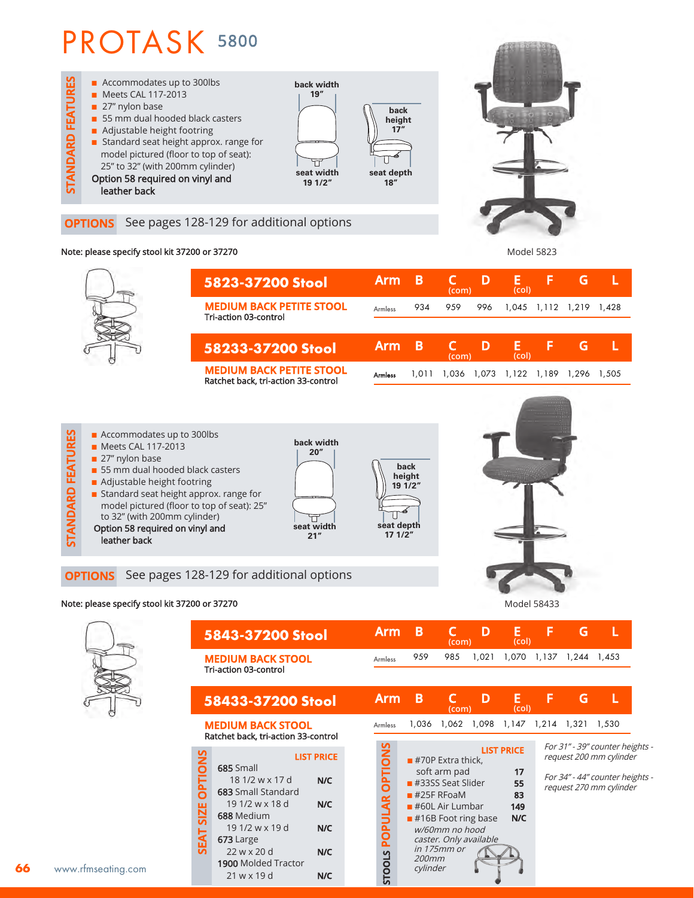

### **OPTIONS** See pages 128-129 for additional options

#### Note: please specify stool kit 37200 or 37270

**5823-37200 Stool MEDIUM BACK PETITE STOOL** Tri-action 03-control **58233-37200 Stool MEDIUM BACK PETITE STOOL** Ratchet back, tri-action 33-control Armless Armless **Arm B C D E F G L (com) Arm B C D E F G L (com) (col) (col)** 934 959 996 1,045 1,112 1,219 1,428 1,011 1,036 1,073 1,122 1,189 1,296 1,505

Model 5823



#### Note: please specify stool kit 37200 or 37270 Note: a state of the state of the state of the Model 58433